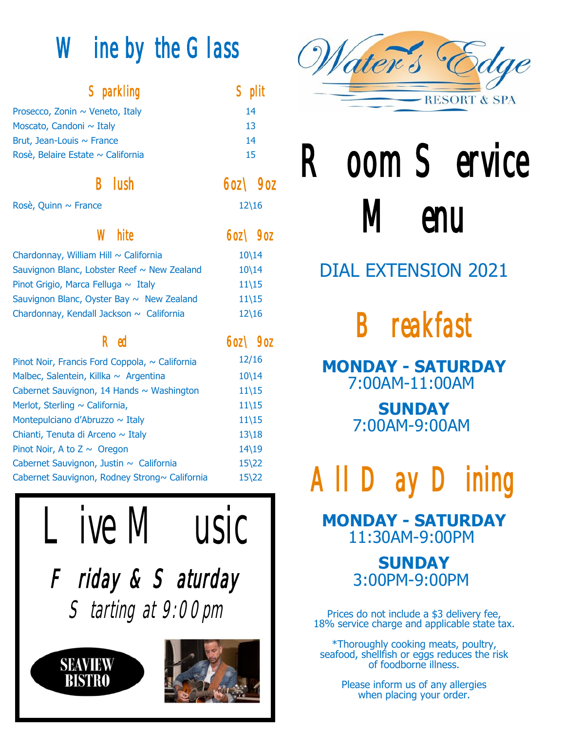# Wine by the Glass

| <b>Sparkling</b>                               | $\operatorname{\mathsf{Split}}$ |  |
|------------------------------------------------|---------------------------------|--|
| Prosecco, Zonin ~ Veneto, Italy                | 14                              |  |
| Moscato, Candoni ~ Italy                       | 13                              |  |
| Brut, Jean-Louis ~ France                      | 14                              |  |
| Rosè, Belaire Estate ~ California              | 15                              |  |
| $\mathsf B$ lush                               | $60Z \searrow 90Z$              |  |
| Rosè, Quinn ~ France                           | $12\backslash 16$               |  |
| <b>White</b>                                   | $60Z \searrow 90Z$              |  |
| Chardonnay, William Hill ~ California          | $10\backslash 14$               |  |
| Sauvignon Blanc, Lobster Reef ~ New Zealand    | $10\backslash 14$               |  |
| Pinot Grigio, Marca Felluga ~ Italy            | $11\backslash 15$               |  |
| Sauvignon Blanc, Oyster Bay $\sim$ New Zealand | $11\backslash15$                |  |
| Chardonnay, Kendall Jackson ~ California       | $12\backslash16$                |  |
| $\mathsf R$ ed                                 | $60Z \searrow 90Z$              |  |
| Pinot Noir, Francis Ford Coppola, ~ California | 12/16                           |  |
| Malbec, Salentein, Killka ~ Argentina          | $10\backslash 14$               |  |
| Cabernet Sauvignon, 14 Hands ~ Washington      | $11\backslash15$                |  |
| Merlot, Sterling ~ California,                 | $11\backslash 15$               |  |
| Montepulciano d'Abruzzo ~ Italy                | $11\backslash15$                |  |
| Chianti, Tenuta di Arceno ~ Italy              | $13\frac{18}{ }$                |  |
| Pinot Noir, A to $Z \sim$ Oregon               | $14\backslash 19$               |  |
| Cabernet Sauvignon, Justin ~ California        | $15\frac{22}{ }$                |  |
| Cabernet Sauvignon, Rodney Strong~ California  | $15\frac{22}{ }$                |  |





# Room Service **Menu**

## DIAL EXTENSION 2021

Breakfast

**MONDAY - SATURDAY** 7:00AM-11:00AM

> **SUNDAY** 7:00AM-9:00AM

All Day Dining

**MONDAY - SATURDAY** 11:30AM-9:00PM

> **SUNDAY** 3:00PM-9:00PM

Prices do not include a \$3 delivery fee, 18% service charge and applicable state tax.

\*Thoroughly cooking meats, poultry, seafood, shellfish or eggs reduces the risk of foodborne illness.

> Please inform us of any allergies when placing your order.